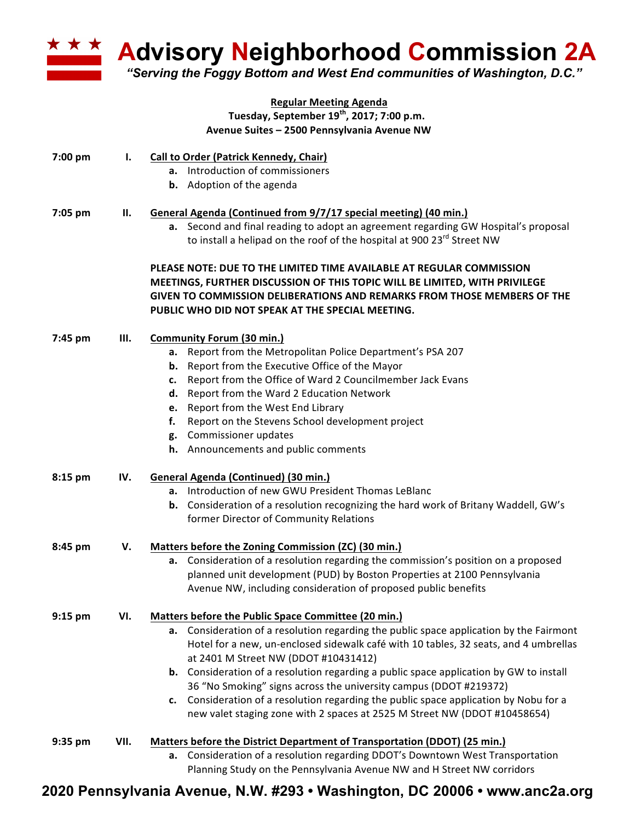

**Advisory Neighborhood Commission 2A**

*"Serving the Foggy Bottom and West End communities of Washington, D.C."*

|         |      | <b>Regular Meeting Agenda</b>                                                                 |
|---------|------|-----------------------------------------------------------------------------------------------|
|         |      | Tuesday, September 19 <sup>th</sup> , 2017; 7:00 p.m.                                         |
|         |      | Avenue Suites - 2500 Pennsylvania Avenue NW                                                   |
| 7:00 pm | Ι.   | <b>Call to Order (Patrick Kennedy, Chair)</b>                                                 |
|         |      | a. Introduction of commissioners                                                              |
|         |      | <b>b.</b> Adoption of the agenda                                                              |
| 7:05 pm | П.   | General Agenda (Continued from 9/7/17 special meeting) (40 min.)                              |
|         |      | a. Second and final reading to adopt an agreement regarding GW Hospital's proposal            |
|         |      | to install a helipad on the roof of the hospital at 900 23 <sup>rd</sup> Street NW            |
|         |      | PLEASE NOTE: DUE TO THE LIMITED TIME AVAILABLE AT REGULAR COMMISSION                          |
|         |      | MEETINGS, FURTHER DISCUSSION OF THIS TOPIC WILL BE LIMITED, WITH PRIVILEGE                    |
|         |      | GIVEN TO COMMISSION DELIBERATIONS AND REMARKS FROM THOSE MEMBERS OF THE                       |
|         |      | PUBLIC WHO DID NOT SPEAK AT THE SPECIAL MEETING.                                              |
| 7:45 pm | Ш.   | <b>Community Forum (30 min.)</b>                                                              |
|         |      | a. Report from the Metropolitan Police Department's PSA 207                                   |
|         |      | Report from the Executive Office of the Mayor<br>b.                                           |
|         |      | c. Report from the Office of Ward 2 Councilmember Jack Evans                                  |
|         |      | d. Report from the Ward 2 Education Network                                                   |
|         |      | Report from the West End Library<br>e.                                                        |
|         |      | Report on the Stevens School development project<br>f.                                        |
|         |      | g. Commissioner updates                                                                       |
|         |      | h. Announcements and public comments                                                          |
| 8:15 pm | IV.  | <b>General Agenda (Continued) (30 min.)</b>                                                   |
|         |      | a. Introduction of new GWU President Thomas LeBlanc                                           |
|         |      | <b>b.</b> Consideration of a resolution recognizing the hard work of Britany Waddell, GW's    |
|         |      | former Director of Community Relations                                                        |
| 8:45 pm | V.   | Matters before the Zoning Commission (ZC) (30 min.)                                           |
|         |      | a. Consideration of a resolution regarding the commission's position on a proposed            |
|         |      | planned unit development (PUD) by Boston Properties at 2100 Pennsylvania                      |
|         |      | Avenue NW, including consideration of proposed public benefits                                |
| 9:15 pm | VI.  | <b>Matters before the Public Space Committee (20 min.)</b>                                    |
|         |      | a. Consideration of a resolution regarding the public space application by the Fairmont       |
|         |      | Hotel for a new, un-enclosed sidewalk café with 10 tables, 32 seats, and 4 umbrellas          |
|         |      | at 2401 M Street NW (DDOT #10431412)                                                          |
|         |      | <b>b.</b> Consideration of a resolution regarding a public space application by GW to install |
|         |      | 36 "No Smoking" signs across the university campus (DDOT #219372)                             |
|         |      | c. Consideration of a resolution regarding the public space application by Nobu for a         |
|         |      | new valet staging zone with 2 spaces at 2525 M Street NW (DDOT #10458654)                     |
| 9:35 pm | VII. | Matters before the District Department of Transportation (DDOT) (25 min.)                     |
|         |      | a. Consideration of a resolution regarding DDOT's Downtown West Transportation                |
|         |      | Planning Study on the Pennsylvania Avenue NW and H Street NW corridors                        |

## **2020 Pennsylvania Avenue, N.W. #293 • Washington, DC 20006 • www.anc2a.org**